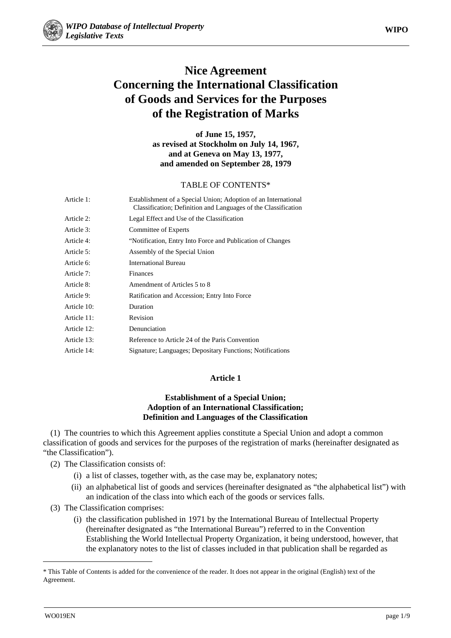

### **of June 15, 1957, as revised at Stockholm on July 14, 1967, and at Geneva on May 13, 1977, and amended on September 28, 1979**

#### TABLE OF CONTENTS\*

| Article 1:  | Establishment of a Special Union; Adoption of an International<br>Classification; Definition and Languages of the Classification |
|-------------|----------------------------------------------------------------------------------------------------------------------------------|
| Article 2:  | Legal Effect and Use of the Classification                                                                                       |
| Article 3:  | Committee of Experts                                                                                                             |
| Article 4:  | "Notification, Entry Into Force and Publication of Changes"                                                                      |
| Article 5:  | Assembly of the Special Union                                                                                                    |
| Article 6:  | <b>International Bureau</b>                                                                                                      |
| Article 7:  | Finances                                                                                                                         |
| Article 8:  | Amendment of Articles 5 to 8                                                                                                     |
| Article 9:  | Ratification and Accession; Entry Into Force                                                                                     |
| Article 10: | Duration                                                                                                                         |
| Article 11: | Revision                                                                                                                         |
| Article 12: | Denunciation                                                                                                                     |
| Article 13: | Reference to Article 24 of the Paris Convention                                                                                  |
| Article 14: | Signature; Languages; Depositary Functions; Notifications                                                                        |
|             |                                                                                                                                  |

#### **Article 1**

#### **Establishment of a Special Union; Adoption of an International Classification; Definition and Languages of the Classification**

(1) The countries to which this Agreement applies constitute a Special Union and adopt a common classification of goods and services for the purposes of the registration of marks (hereinafter designated as "the Classification").

- (2) The Classification consists of:
	- (i) a list of classes, together with, as the case may be, explanatory notes;
	- (ii) an alphabetical list of goods and services (hereinafter designated as "the alphabetical list") with an indication of the class into which each of the goods or services falls.
- (3) The Classification comprises:
	- (i) the classification published in 1971 by the International Bureau of Intellectual Property (hereinafter designated as "the International Bureau") referred to in the Convention Establishing the World Intellectual Property Organization, it being understood, however, that the explanatory notes to the list of classes included in that publication shall be regarded as

-

<sup>\*</sup> This Table of Contents is added for the convenience of the reader. It does not appear in the original (English) text of the Agreement.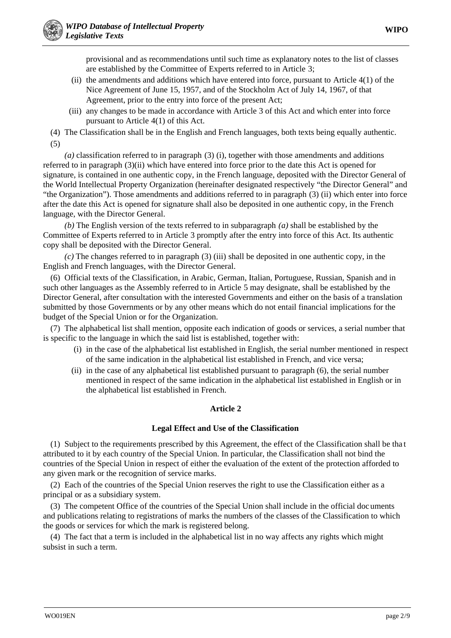provisional and as recommendations until such time as explanatory notes to the list of classes are established by the Committee of Experts referred to in Article 3;

- (ii) the amendments and additions which have entered into force, pursuant to Article 4(1) of the Nice Agreement of June 15, 1957, and of the Stockholm Act of July 14, 1967, of that Agreement, prior to the entry into force of the present Act;
- (iii) any changes to be made in accordance with Article 3 of this Act and which enter into force pursuant to Article 4(1) of this Act.
- (4) The Classification shall be in the English and French languages, both texts being equally authentic.
- (5)

*(a)* classification referred to in paragraph (3) (i), together with those amendments and additions referred to in paragraph (3)(ii) which have entered into force prior to the date this Act is opened for signature, is contained in one authentic copy, in the French language, deposited with the Director General of the World Intellectual Property Organization (hereinafter designated respectively "the Director General" and "the Organization"). Those amendments and additions referred to in paragraph (3) (ii) which enter into force after the date this Act is opened for signature shall also be deposited in one authentic copy, in the French language, with the Director General.

*(b)* The English version of the texts referred to in subparagraph *(a)* shall be established by the Committee of Experts referred to in Article 3 promptly after the entry into force of this Act. Its authentic copy shall be deposited with the Director General.

*(c)* The changes referred to in paragraph (3) (iii) shall be deposited in one authentic copy, in the English and French languages, with the Director General.

(6) Official texts of the Classification, in Arabic, German, Italian, Portuguese, Russian, Spanish and in such other languages as the Assembly referred to in Article 5 may designate, shall be established by the Director General, after consultation with the interested Governments and either on the basis of a translation submitted by those Governments or by any other means which do not entail financial implications for the budget of the Special Union or for the Organization.

(7) The alphabetical list shall mention, opposite each indication of goods or services, a serial number that is specific to the language in which the said list is established, together with:

- (i) in the case of the alphabetical list established in English, the serial number mentioned in respect of the same indication in the alphabetical list established in French, and vice versa;
- (ii) in the case of any alphabetical list established pursuant to paragraph (6), the serial number mentioned in respect of the same indication in the alphabetical list established in English or in the alphabetical list established in French.

## **Article 2**

## **Legal Effect and Use of the Classification**

(1) Subject to the requirements prescribed by this Agreement, the effect of the Classification shall be tha t attributed to it by each country of the Special Union. In particular, the Classification shall not bind the countries of the Special Union in respect of either the evaluation of the extent of the protection afforded to any given mark or the recognition of service marks.

(2) Each of the countries of the Special Union reserves the right to use the Classification either as a principal or as a subsidiary system.

(3) The competent Office of the countries of the Special Union shall include in the official doc uments and publications relating to registrations of marks the numbers of the classes of the Classification to which the goods or services for which the mark is registered belong.

(4) The fact that a term is included in the alphabetical list in no way affects any rights which might subsist in such a term.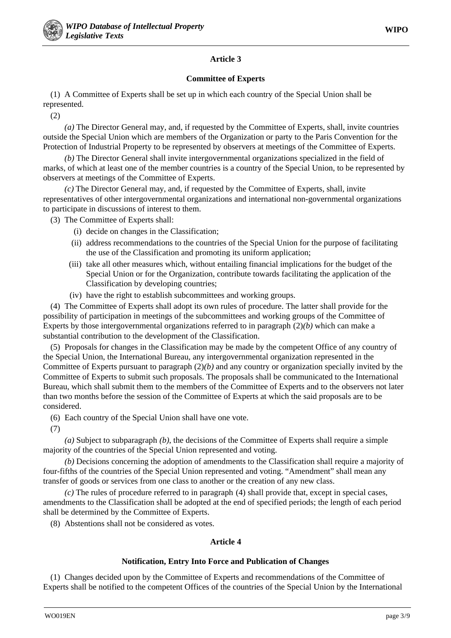# **Article 3**

### **Committee of Experts**

(1) A Committee of Experts shall be set up in which each country of the Special Union shall be represented.

(2)

*(a)* The Director General may, and, if requested by the Committee of Experts, shall, invite countries outside the Special Union which are members of the Organization or party to the Paris Convention for the Protection of Industrial Property to be represented by observers at meetings of the Committee of Experts.

*(b)* The Director General shall invite intergovernmental organizations specialized in the field of marks, of which at least one of the member countries is a country of the Special Union, to be represented by observers at meetings of the Committee of Experts.

*(c)* The Director General may, and, if requested by the Committee of Experts, shall, invite representatives of other intergovernmental organizations and international non-governmental organizations to participate in discussions of interest to them.

(3) The Committee of Experts shall:

- (i) decide on changes in the Classification;
- (ii) address recommendations to the countries of the Special Union for the purpose of facilitating the use of the Classification and promoting its uniform application;
- (iii) take all other measures which, without entailing financial implications for the budget of the Special Union or for the Organization, contribute towards facilitating the application of the Classification by developing countries;
- (iv) have the right to establish subcommittees and working groups.

(4) The Committee of Experts shall adopt its own rules of procedure. The latter shall provide for the possibility of participation in meetings of the subcommittees and working groups of the Committee of Experts by those intergovernmental organizations referred to in paragraph (2)*(b)* which can make a substantial contribution to the development of the Classification.

(5) Proposals for changes in the Classification may be made by the competent Office of any country of the Special Union, the International Bureau, any intergovernmental organization represented in the Committee of Experts pursuant to paragraph (2)*(b)* and any country or organization specially invited by the Committee of Experts to submit such proposals. The proposals shall be communicated to the International Bureau, which shall submit them to the members of the Committee of Experts and to the observers not later than two months before the session of the Committee of Experts at which the said proposals are to be considered.

(6) Each country of the Special Union shall have one vote.

(7)

*(a)* Subject to subparagraph *(b)*, the decisions of the Committee of Experts shall require a simple majority of the countries of the Special Union represented and voting.

*(b)* Decisions concerning the adoption of amendments to the Classification shall require a majority of four-fifths of the countries of the Special Union represented and voting. "Amendment" shall mean any transfer of goods or services from one class to another or the creation of any new class.

*(c)* The rules of procedure referred to in paragraph (4) shall provide that, except in special cases, amendments to the Classification shall be adopted at the end of specified periods; the length of each period shall be determined by the Committee of Experts.

(8) Abstentions shall not be considered as votes.

## **Article 4**

## **Notification, Entry Into Force and Publication of Changes**

(1) Changes decided upon by the Committee of Experts and recommendations of the Committee of Experts shall be notified to the competent Offices of the countries of the Special Union by the International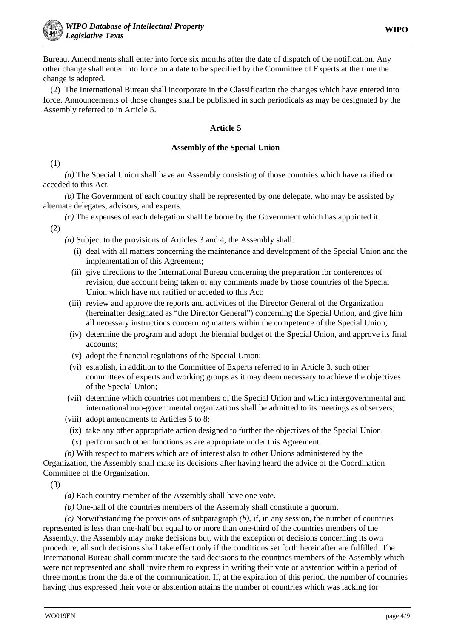Bureau. Amendments shall enter into force six months after the date of dispatch of the notification. Any other change shall enter into force on a date to be specified by the Committee of Experts at the time the change is adopted.

(2) The International Bureau shall incorporate in the Classification the changes which have entered into force. Announcements of those changes shall be published in such periodicals as may be designated by the Assembly referred to in Article 5.

### **Article 5**

### **Assembly of the Special Union**

(1)

*(a)* The Special Union shall have an Assembly consisting of those countries which have ratified or acceded to this Act.

*(b)* The Government of each country shall be represented by one delegate, who may be assisted by alternate delegates, advisors, and experts.

*(c)* The expenses of each delegation shall be borne by the Government which has appointed it.

(2)

*(a)* Subject to the provisions of Articles 3 and 4, the Assembly shall:

- (i) deal with all matters concerning the maintenance and development of the Special Union and the implementation of this Agreement;
- (ii) give directions to the International Bureau concerning the preparation for conferences of revision, due account being taken of any comments made by those countries of the Special Union which have not ratified or acceded to this Act;
- (iii) review and approve the reports and activities of the Director General of the Organization (hereinafter designated as "the Director General") concerning the Special Union, and give him all necessary instructions concerning matters within the competence of the Special Union;
- (iv) determine the program and adopt the biennial budget of the Special Union, and approve its final accounts;
- (v) adopt the financial regulations of the Special Union;
- (vi) establish, in addition to the Committee of Experts referred to in Article 3, such other committees of experts and working groups as it may deem necessary to achieve the objectives of the Special Union;
- (vii) determine which countries not members of the Special Union and which intergovernmental and international non-governmental organizations shall be admitted to its meetings as observers;
- (viii) adopt amendments to Articles 5 to 8;
	- (ix) take any other appropriate action designed to further the objectives of the Special Union;
	- (x) perform such other functions as are appropriate under this Agreement.

*(b)* With respect to matters which are of interest also to other Unions administered by the Organization, the Assembly shall make its decisions after having heard the advice of the Coordination Committee of the Organization.

(3)

- *(a)* Each country member of the Assembly shall have one vote.
- *(b)* One-half of the countries members of the Assembly shall constitute a quorum.

*(c)* Notwithstanding the provisions of subparagraph *(b)*, if, in any session, the number of countries represented is less than one-half but equal to or more than one-third of the countries members of the Assembly, the Assembly may make decisions but, with the exception of decisions concerning its own procedure, all such decisions shall take effect only if the conditions set forth hereinafter are fulfilled. The International Bureau shall communicate the said decisions to the countries members of the Assembly which were not represented and shall invite them to express in writing their vote or abstention within a period of three months from the date of the communication. If, at the expiration of this period, the number of countries having thus expressed their vote or abstention attains the number of countries which was lacking for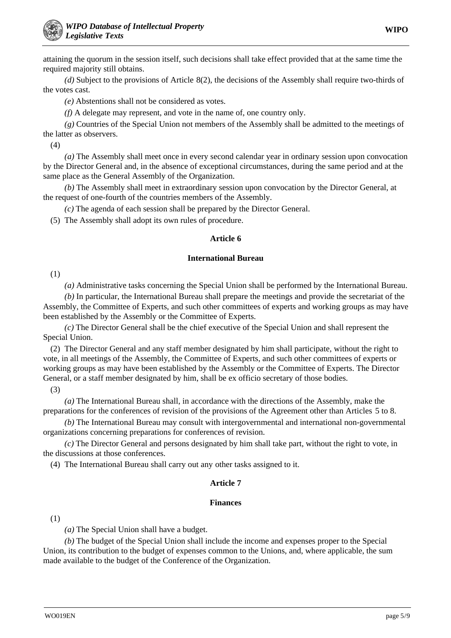attaining the quorum in the session itself, such decisions shall take effect provided that at the same time the required majority still obtains.

*(d)* Subject to the provisions of Article 8(2), the decisions of the Assembly shall require two-thirds of the votes cast.

*(e)* Abstentions shall not be considered as votes.

*(f)* A delegate may represent, and vote in the name of, one country only.

*(g)* Countries of the Special Union not members of the Assembly shall be admitted to the meetings of the latter as observers.

 $(4)$ 

*(a)* The Assembly shall meet once in every second calendar year in ordinary session upon convocation by the Director General and, in the absence of exceptional circumstances, during the same period and at the same place as the General Assembly of the Organization.

*(b)* The Assembly shall meet in extraordinary session upon convocation by the Director General, at the request of one-fourth of the countries members of the Assembly.

*(c)* The agenda of each session shall be prepared by the Director General.

(5) The Assembly shall adopt its own rules of procedure.

#### **Article 6**

#### **International Bureau**

(1)

*(a)* Administrative tasks concerning the Special Union shall be performed by the International Bureau.

*(b)* In particular, the International Bureau shall prepare the meetings and provide the secretariat of the Assembly, the Committee of Experts, and such other committees of experts and working groups as may have been established by the Assembly or the Committee of Experts.

*(c)* The Director General shall be the chief executive of the Special Union and shall represent the Special Union.

(2) The Director General and any staff member designated by him shall participate, without the right to vote, in all meetings of the Assembly, the Committee of Experts, and such other committees of experts or working groups as may have been established by the Assembly or the Committee of Experts. The Director General, or a staff member designated by him, shall be ex officio secretary of those bodies.

(3)

*(a)* The International Bureau shall, in accordance with the directions of the Assembly, make the preparations for the conferences of revision of the provisions of the Agreement other than Articles 5 to 8.

*(b)* The International Bureau may consult with intergovernmental and international non-governmental organizations concerning preparations for conferences of revision.

*(c)* The Director General and persons designated by him shall take part, without the right to vote, in the discussions at those conferences.

(4) The International Bureau shall carry out any other tasks assigned to it.

#### **Article 7**

#### **Finances**

(1)

*(a)* The Special Union shall have a budget.

*(b)* The budget of the Special Union shall include the income and expenses proper to the Special Union, its contribution to the budget of expenses common to the Unions, and, where applicable, the sum made available to the budget of the Conference of the Organization.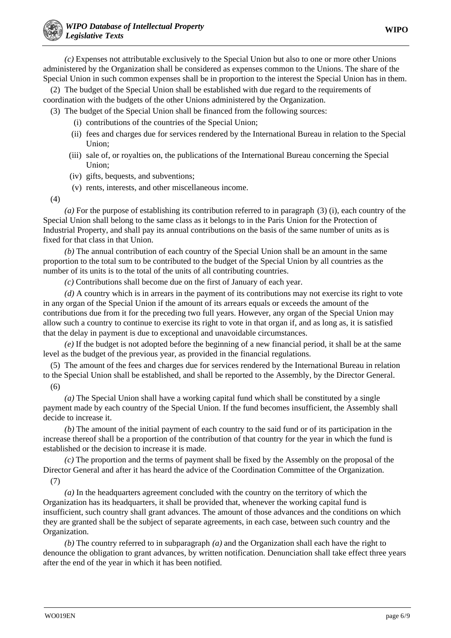*(c)* Expenses not attributable exclusively to the Special Union but also to one or more other Unions administered by the Organization shall be considered as expenses common to the Unions. The share of the Special Union in such common expenses shall be in proportion to the interest the Special Union has in them.

(2) The budget of the Special Union shall be established with due regard to the requirements of coordination with the budgets of the other Unions administered by the Organization.

(3) The budget of the Special Union shall be financed from the following sources:

- (i) contributions of the countries of the Special Union;
- (ii) fees and charges due for services rendered by the International Bureau in relation to the Special Union;
- (iii) sale of, or royalties on, the publications of the International Bureau concerning the Special Union;
- (iv) gifts, bequests, and subventions;
- (v) rents, interests, and other miscellaneous income.

(4)

*(a)* For the purpose of establishing its contribution referred to in paragraph (3) (i), each country of the Special Union shall belong to the same class as it belongs to in the Paris Union for the Protection of Industrial Property, and shall pay its annual contributions on the basis of the same number of units as is fixed for that class in that Union.

*(b)* The annual contribution of each country of the Special Union shall be an amount in the same proportion to the total sum to be contributed to the budget of the Special Union by all countries as the number of its units is to the total of the units of all contributing countries.

*(c)* Contributions shall become due on the first of January of each year.

*(d)* A country which is in arrears in the payment of its contributions may not exercise its right to vote in any organ of the Special Union if the amount of its arrears equals or exceeds the amount of the contributions due from it for the preceding two full years. However, any organ of the Special Union may allow such a country to continue to exercise its right to vote in that organ if, and as long as, it is satisfied that the delay in payment is due to exceptional and unavoidable circumstances.

*(e)* If the budget is not adopted before the beginning of a new financial period, it shall be at the same level as the budget of the previous year, as provided in the financial regulations.

(5) The amount of the fees and charges due for services rendered by the International Bureau in relation to the Special Union shall be established, and shall be reported to the Assembly, by the Director General.  $(6)$ 

*(a)* The Special Union shall have a working capital fund which shall be constituted by a single payment made by each country of the Special Union. If the fund becomes insufficient, the Assembly shall decide to increase it.

*(b)* The amount of the initial payment of each country to the said fund or of its participation in the increase thereof shall be a proportion of the contribution of that country for the year in which the fund is established or the decision to increase it is made.

*(c)* The proportion and the terms of payment shall be fixed by the Assembly on the proposal of the Director General and after it has heard the advice of the Coordination Committee of the Organization.

(7)

*(a)* In the headquarters agreement concluded with the country on the territory of which the Organization has its headquarters, it shall be provided that, whenever the working capital fund is insufficient, such country shall grant advances. The amount of those advances and the conditions on which they are granted shall be the subject of separate agreements, in each case, between such country and the Organization.

*(b)* The country referred to in subparagraph *(a)* and the Organization shall each have the right to denounce the obligation to grant advances, by written notification. Denunciation shall take effect three years after the end of the year in which it has been notified.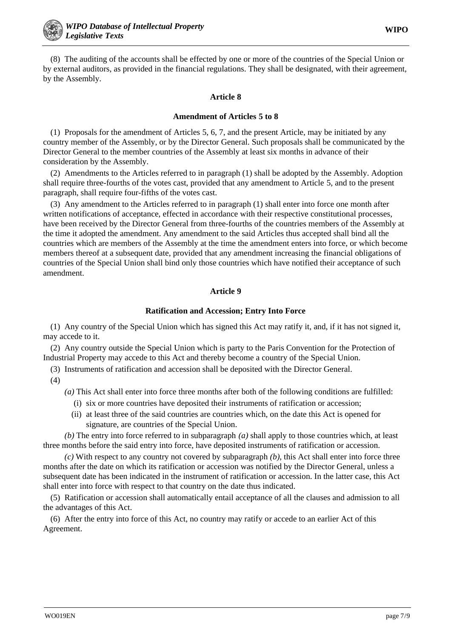(8) The auditing of the accounts shall be effected by one or more of the countries of the Special Union or by external auditors, as provided in the financial regulations. They shall be designated, with their agreement, by the Assembly.

## **Article 8**

#### **Amendment of Articles 5 to 8**

(1) Proposals for the amendment of Articles 5, 6, 7, and the present Article, may be initiated by any country member of the Assembly, or by the Director General. Such proposals shall be communicated by the Director General to the member countries of the Assembly at least six months in advance of their consideration by the Assembly.

(2) Amendments to the Articles referred to in paragraph (1) shall be adopted by the Assembly. Adoption shall require three-fourths of the votes cast, provided that any amendment to Article 5, and to the present paragraph, shall require four-fifths of the votes cast.

(3) Any amendment to the Articles referred to in paragraph (1) shall enter into force one month after written notifications of acceptance, effected in accordance with their respective constitutional processes, have been received by the Director General from three-fourths of the countries members of the Assembly at the time it adopted the amendment. Any amendment to the said Articles thus accepted shall bind all the countries which are members of the Assembly at the time the amendment enters into force, or which become members thereof at a subsequent date, provided that any amendment increasing the financial obligations of countries of the Special Union shall bind only those countries which have notified their acceptance of such amendment.

### **Article 9**

### **Ratification and Accession; Entry Into Force**

(1) Any country of the Special Union which has signed this Act may ratify it, and, if it has not signed it, may accede to it.

(2) Any country outside the Special Union which is party to the Paris Convention for the Protection of Industrial Property may accede to this Act and thereby become a country of the Special Union.

(3) Instruments of ratification and accession shall be deposited with the Director General.

 $(4)$ 

*(a)* This Act shall enter into force three months after both of the following conditions are fulfilled:

- (i) six or more countries have deposited their instruments of ratification or accession;
- (ii) at least three of the said countries are countries which, on the date this Act is opened for signature, are countries of the Special Union.

*(b)* The entry into force referred to in subparagraph *(a)* shall apply to those countries which, at least three months before the said entry into force, have deposited instruments of ratification or accession.

*(c)* With respect to any country not covered by subparagraph *(b)*, this Act shall enter into force three months after the date on which its ratification or accession was notified by the Director General, unless a subsequent date has been indicated in the instrument of ratification or accession. In the latter case, this Act shall enter into force with respect to that country on the date thus indicated.

(5) Ratification or accession shall automatically entail acceptance of all the clauses and admission to all the advantages of this Act.

(6) After the entry into force of this Act, no country may ratify or accede to an earlier Act of this Agreement.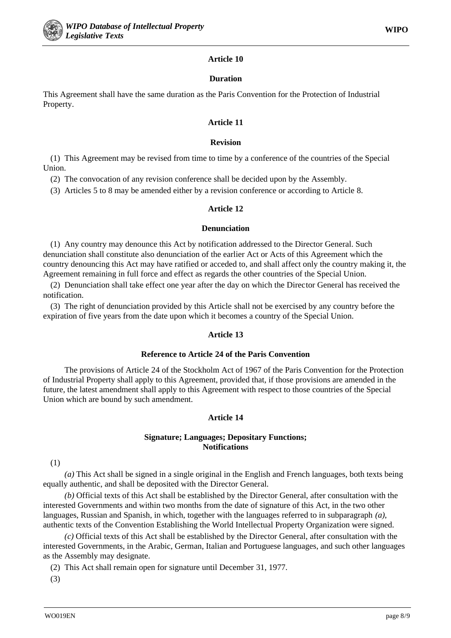### **Article 10**

#### **Duration**

This Agreement shall have the same duration as the Paris Convention for the Protection of Industrial Property.

## **Article 11**

#### **Revision**

(1) This Agreement may be revised from time to time by a conference of the countries of the Special Union.

(2) The convocation of any revision conference shall be decided upon by the Assembly.

(3) Articles 5 to 8 may be amended either by a revision conference or according to Article 8.

### **Article 12**

### **Denunciation**

(1) Any country may denounce this Act by notification addressed to the Director General. Such denunciation shall constitute also denunciation of the earlier Act or Acts of this Agreement which the country denouncing this Act may have ratified or acceded to, and shall affect only the country making it, the Agreement remaining in full force and effect as regards the other countries of the Special Union.

(2) Denunciation shall take effect one year after the day on which the Director General has received the notification.

(3) The right of denunciation provided by this Article shall not be exercised by any country before the expiration of five years from the date upon which it becomes a country of the Special Union.

## **Article 13**

#### **Reference to Article 24 of the Paris Convention**

The provisions of Article 24 of the Stockholm Act of 1967 of the Paris Convention for the Protection of Industrial Property shall apply to this Agreement, provided that, if those provisions are amended in the future, the latest amendment shall apply to this Agreement with respect to those countries of the Special Union which are bound by such amendment.

## **Article 14**

### **Signature; Languages; Depositary Functions; Notifications**

(1)

*(a)* This Act shall be signed in a single original in the English and French languages, both texts being equally authentic, and shall be deposited with the Director General.

*(b)* Official texts of this Act shall be established by the Director General, after consultation with the interested Governments and within two months from the date of signature of this Act, in the two other languages, Russian and Spanish, in which, together with the languages referred to in subparagraph *(a)*, authentic texts of the Convention Establishing the World Intellectual Property Organization were signed.

*(c)* Official texts of this Act shall be established by the Director General, after consultation with the interested Governments, in the Arabic, German, Italian and Portuguese languages, and such other languages as the Assembly may designate.

(2) This Act shall remain open for signature until December 31, 1977.

(3)